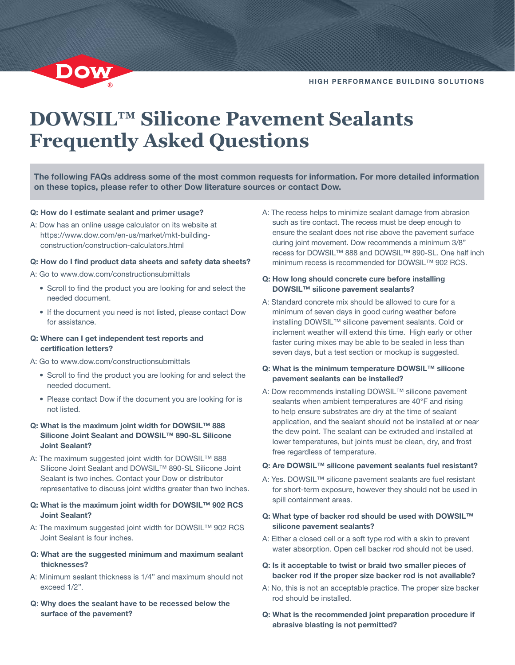# **DOWSIL™ Silicone Pavement Sealants Frequently Asked Questions**

The following FAQs address some of the most common requests for information. For more detailed information on these topics, please refer to other Dow literature sources or contact Dow.

#### Q: How do I estimate sealant and primer usage?

A: Dow has an online usage calculator on its website at https://www.dow.com/en-us/market/mkt-buildingconstruction/construction-calculators.html

#### Q: How do I find product data sheets and safety data sheets?

- A: Go to www.dow.com/constructionsubmittals
	- Scroll to find the product you are looking for and select the needed document.
	- If the document you need is not listed, please contact Dow for assistance.

#### Q: Where can I get independent test reports and certification letters?

A: Go to [www.dow.com/constructionsubmittals](http://www.dow.com/constructionsubmittals)

- Scroll to find the product you are looking for and select the needed document.
- Please contact Dow if the document you are looking for is not listed.
- Q: What is the maximum joint width for DOWSIL™ 888 Silicone Joint Sealant and DOWSIL™ 890-SL Silicone Joint Sealant?
- A: The maximum suggested joint width for DOWSIL™ 888 Silicone Joint Sealant and DOWSIL™ 890-SL Silicone Joint Sealant is two inches. Contact your Dow or distributor representative to discuss joint widths greater than two inches.
- Q: What is the maximum joint width for DOWSIL™ 902 RCS Joint Sealant?
- A: The maximum suggested joint width for DOWSIL™ 902 RCS Joint Sealant is four inches.
- Q: What are the suggested minimum and maximum sealant thicknesses?
- A: Minimum sealant thickness is 1/4" and maximum should not exceed 1/2".
- Q: Why does the sealant have to be recessed below the surface of the pavement?

A: The recess helps to minimize sealant damage from abrasion such as tire contact. The recess must be deep enough to ensure the sealant does not rise above the pavement surface during joint movement. Dow recommends a minimum 3/8" recess for DOWSIL™ 888 and DOWSIL™ 890-SL. One half inch minimum recess is recommended for DOWSIL™ 902 RCS.

#### Q: How long should concrete cure before installing DOWSIL™ silicone pavement sealants?

- A: Standard concrete mix should be allowed to cure for a minimum of seven days in good curing weather before installing DOWSIL™ silicone pavement sealants. Cold or inclement weather will extend this time. High early or other faster curing mixes may be able to be sealed in less than seven days, but a test section or mockup is suggested.
- Q: What is the minimum temperature DOWSIL™ silicone pavement sealants can be installed?
- A: Dow recommends installing DOWSIL™ silicone pavement sealants when ambient temperatures are 40°F and rising to help ensure substrates are dry at the time of sealant application, and the sealant should not be installed at or near the dew point. The sealant can be extruded and installed at lower temperatures, but joints must be clean, dry, and frost free regardless of temperature.

#### Q: Are DOWSIL™ silicone pavement sealants fuel resistant?

- A: Yes. DOWSIL™ silicone pavement sealants are fuel resistant for short-term exposure, however they should not be used in spill containment areas.
- Q: What type of backer rod should be used with DOWSIL™ silicone pavement sealants?
- A: Either a closed cell or a soft type rod with a skin to prevent water absorption. Open cell backer rod should not be used.
- Q: Is it acceptable to twist or braid two smaller pieces of backer rod if the proper size backer rod is not available?
- A: No, this is not an acceptable practice. The proper size backer rod should be installed.
- Q: What is the recommended joint preparation procedure if abrasive blasting is not permitted?